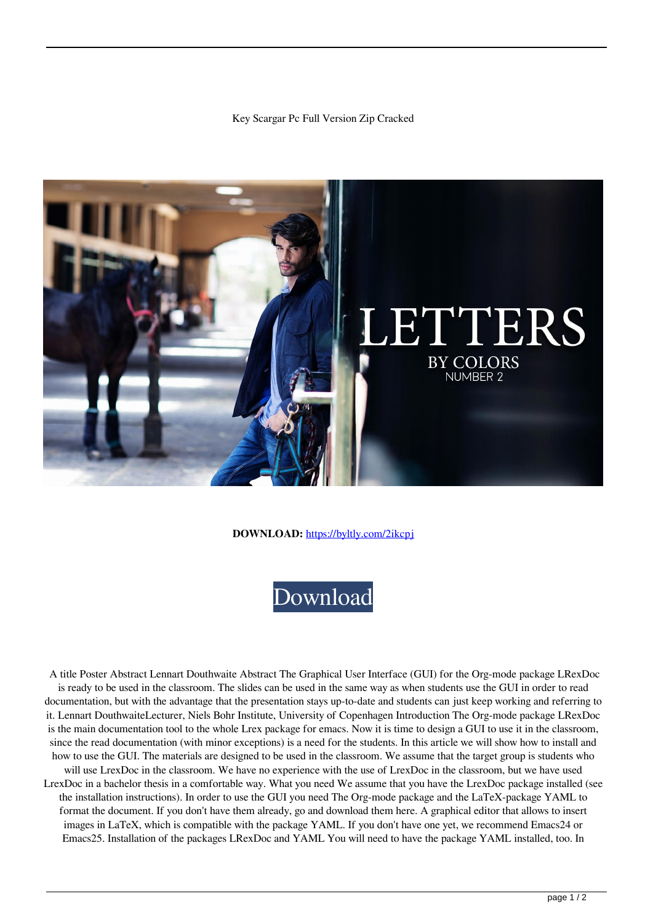## Key Scargar Pc Full Version Zip Cracked



## **DOWNLOAD:** <https://byltly.com/2ikcpj>



 A title Poster Abstract Lennart Douthwaite Abstract The Graphical User Interface (GUI) for the Org-mode package LRexDoc is ready to be used in the classroom. The slides can be used in the same way as when students use the GUI in order to read documentation, but with the advantage that the presentation stays up-to-date and students can just keep working and referring to it. Lennart DouthwaiteLecturer, Niels Bohr Institute, University of Copenhagen Introduction The Org-mode package LRexDoc is the main documentation tool to the whole Lrex package for emacs. Now it is time to design a GUI to use it in the classroom, since the read documentation (with minor exceptions) is a need for the students. In this article we will show how to install and how to use the GUI. The materials are designed to be used in the classroom. We assume that the target group is students who will use LrexDoc in the classroom. We have no experience with the use of LrexDoc in the classroom, but we have used LrexDoc in a bachelor thesis in a comfortable way. What you need We assume that you have the LrexDoc package installed (see the installation instructions). In order to use the GUI you need The Org-mode package and the LaTeX-package YAML to format the document. If you don't have them already, go and download them here. A graphical editor that allows to insert images in LaTeX, which is compatible with the package YAML. If you don't have one yet, we recommend Emacs24 or Emacs25. Installation of the packages LRexDoc and YAML You will need to have the package YAML installed, too. In